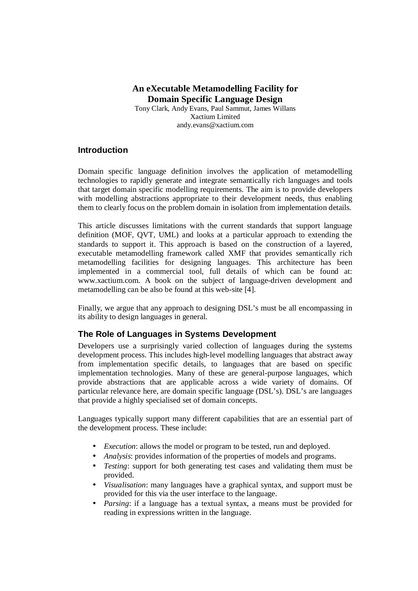# **An eXecutable Metamodelling Facility for Domain Specific Language Design**

Tony Clark, Andy Evans, Paul Sammut, James Willans Xactium Limited andy.evans@xactium.com

## **Introduction**

Domain specific language definition involves the application of metamodelling technologies to rapidly generate and integrate semantically rich languages and tools that target domain specific modelling requirements. The aim is to provide developers with modelling abstractions appropriate to their development needs, thus enabling them to clearly focus on the problem domain in isolation from implementation details.

This article discusses limitations with the current standards that support language definition (MOF, QVT, UML) and looks at a particular approach to extending the standards to support it. This approach is based on the construction of a layered, executable metamodelling framework called XMF that provides semantically rich metamodelling facilities for designing languages. This architecture has been implemented in a commercial tool, full details of which can be found at: www.xactium.com. A book on the subject of language-driven development and metamodelling can be also be found at this web-site [4].

Finally, we argue that any approach to designing DSL's must be all encompassing in its ability to design languages in general.

# **The Role of Languages in Systems Development**

Developers use a surprisingly varied collection of languages during the systems development process. This includes high-level modelling languages that abstract away from implementation specific details, to languages that are based on specific implementation technologies. Many of these are general-purpose languages, which provide abstractions that are applicable across a wide variety of domains. Of particular relevance here, are domain specific language (DSL's). DSL's are languages that provide a highly specialised set of domain concepts.

Languages typically support many different capabilities that are an essential part of the development process. These include:

- *Execution*: allows the model or program to be tested, run and deployed.
- *Analysis*: provides information of the properties of models and programs.
- *Testing*: support for both generating test cases and validating them must be provided.
- *Visualisation*: many languages have a graphical syntax, and support must be provided for this via the user interface to the language.
- *Parsing*: if a language has a textual syntax, a means must be provided for reading in expressions written in the language.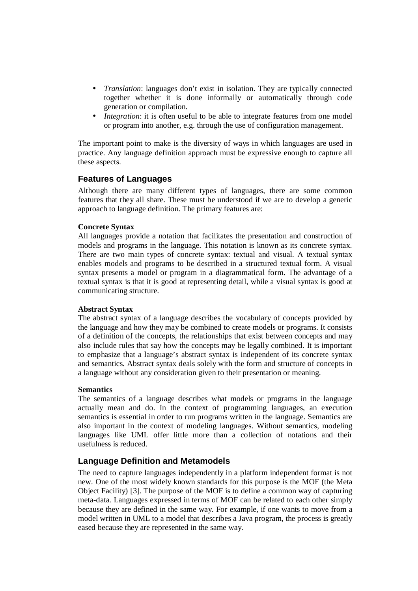- *Translation*: languages don't exist in isolation. They are typically connected together whether it is done informally or automatically through code generation or compilation.
- *Integration*: it is often useful to be able to integrate features from one model or program into another, e.g. through the use of configuration management.

The important point to make is the diversity of ways in which languages are used in practice. Any language definition approach must be expressive enough to capture all these aspects.

## **Features of Languages**

Although there are many different types of languages, there are some common features that they all share. These must be understood if we are to develop a generic approach to language definition. The primary features are:

#### **Concrete Syntax**

All languages provide a notation that facilitates the presentation and construction of models and programs in the language. This notation is known as its concrete syntax. There are two main types of concrete syntax: textual and visual. A textual syntax enables models and programs to be described in a structured textual form. A visual syntax presents a model or program in a diagrammatical form. The advantage of a textual syntax is that it is good at representing detail, while a visual syntax is good at communicating structure.

#### **Abstract Syntax**

The abstract syntax of a language describes the vocabulary of concepts provided by the language and how they may be combined to create models or programs. It consists of a definition of the concepts, the relationships that exist between concepts and may also include rules that say how the concepts may be legally combined. It is important to emphasize that a language's abstract syntax is independent of its concrete syntax and semantics. Abstract syntax deals solely with the form and structure of concepts in a language without any consideration given to their presentation or meaning.

#### **Semantics**

The semantics of a language describes what models or programs in the language actually mean and do. In the context of programming languages, an execution semantics is essential in order to run programs written in the language. Semantics are also important in the context of modeling languages. Without semantics, modeling languages like UML offer little more than a collection of notations and their usefulness is reduced.

## **Language Definition and Metamodels**

The need to capture languages independently in a platform independent format is not new. One of the most widely known standards for this purpose is the MOF (the Meta Object Facility) [3]. The purpose of the MOF is to define a common way of capturing meta-data. Languages expressed in terms of MOF can be related to each other simply because they are defined in the same way. For example, if one wants to move from a model written in UML to a model that describes a Java program, the process is greatly eased because they are represented in the same way.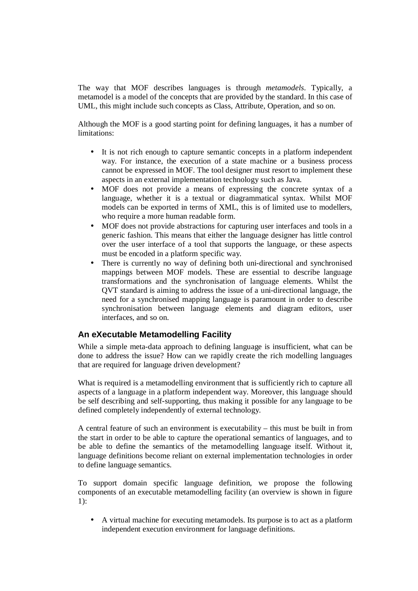The way that MOF describes languages is through *metamodels*. Typically, a metamodel is a model of the concepts that are provided by the standard. In this case of UML, this might include such concepts as Class, Attribute, Operation, and so on.

Although the MOF is a good starting point for defining languages, it has a number of limitations:

- It is not rich enough to capture semantic concepts in a platform independent way. For instance, the execution of a state machine or a business process cannot be expressed in MOF. The tool designer must resort to implement these aspects in an external implementation technology such as Java.
- MOF does not provide a means of expressing the concrete syntax of a language, whether it is a textual or diagrammatical syntax. Whilst MOF models can be exported in terms of XML, this is of limited use to modellers, who require a more human readable form.
- MOF does not provide abstractions for capturing user interfaces and tools in a generic fashion. This means that either the language designer has little control over the user interface of a tool that supports the language, or these aspects must be encoded in a platform specific way.
- There is currently no way of defining both uni-directional and synchronised mappings between MOF models. These are essential to describe language transformations and the synchronisation of language elements. Whilst the QVT standard is aiming to address the issue of a uni-directional language, the need for a synchronised mapping language is paramount in order to describe synchronisation between language elements and diagram editors, user interfaces, and so on.

## **An eXecutable Metamodelling Facility**

While a simple meta-data approach to defining language is insufficient, what can be done to address the issue? How can we rapidly create the rich modelling languages that are required for language driven development?

What is required is a metamodelling environment that is sufficiently rich to capture all aspects of a language in a platform independent way. Moreover, this language should be self describing and self-supporting, thus making it possible for any language to be defined completely independently of external technology.

A central feature of such an environment is executability – this must be built in from the start in order to be able to capture the operational semantics of languages, and to be able to define the semantics of the metamodelling language itself. Without it, language definitions become reliant on external implementation technologies in order to define language semantics.

To support domain specific language definition, we propose the following components of an executable metamodelling facility (an overview is shown in figure 1):

• A virtual machine for executing metamodels. Its purpose is to act as a platform independent execution environment for language definitions.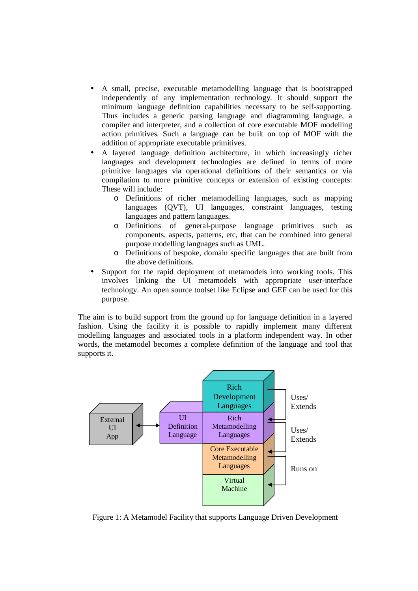- A small, precise, executable metamodelling language that is bootstrapped independently of any implementation technology. It should support the minimum language definition capabilities necessary to be self-supporting. Thus includes a generic parsing language and diagramming language, a compiler and interpreter, and a collection of core executable MOF modelling action primitives. Such a language can be built on top of MOF with the addition of appropriate executable primitives.
- A layered language definition architecture, in which increasingly richer languages and development technologies are defined in terms of more primitive languages via operational definitions of their semantics or via compilation to more primitive concepts or extension of existing concepts: These will include:
	- o Definitions of richer metamodelling languages, such as mapping languages (QVT), UI languages, constraint languages, testing languages and pattern languages.
	- o Definitions of general-purpose language primitives such as components, aspects, patterns, etc, that can be combined into general purpose modelling languages such as UML.
	- o Definitions of bespoke, domain specific languages that are built from the above definitions.
- Support for the rapid deployment of metamodels into working tools. This involves linking the UI metamodels with appropriate user-interface technology. An open source toolset like Eclipse and GEF can be used for this purpose.

The aim is to build support from the ground up for language definition in a layered fashion. Using the facility it is possible to rapidly implement many different modelling languages and associated tools in a platform independent way. In other words, the metamodel becomes a complete definition of the language and tool that supports it.



Figure 1: A Metamodel Facility that supports Language Driven Development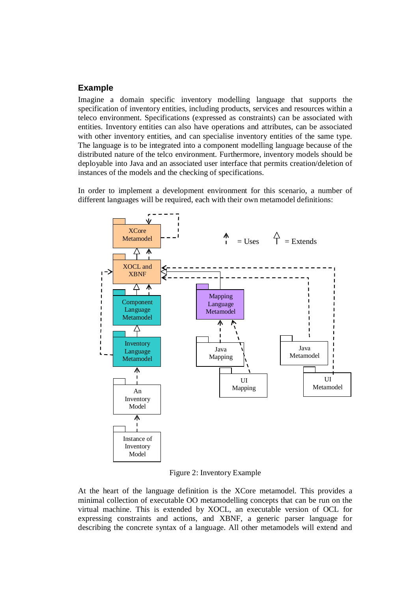## **Example**

Imagine a domain specific inventory modelling language that supports the specification of inventory entities, including products, services and resources within a teleco environment. Specifications (expressed as constraints) can be associated with entities. Inventory entities can also have operations and attributes, can be associated with other inventory entities, and can specialise inventory entities of the same type. The language is to be integrated into a component modelling language because of the distributed nature of the telco environment. Furthermore, inventory models should be deployable into Java and an associated user interface that permits creation/deletion of instances of the models and the checking of specifications.

In order to implement a development environment for this scenario, a number of different languages will be required, each with their own metamodel definitions:



Figure 2: Inventory Example

At the heart of the language definition is the XCore metamodel. This provides a minimal collection of executable OO metamodelling concepts that can be run on the virtual machine. This is extended by XOCL, an executable version of OCL for expressing constraints and actions, and XBNF, a generic parser language for describing the concrete syntax of a language. All other metamodels will extend and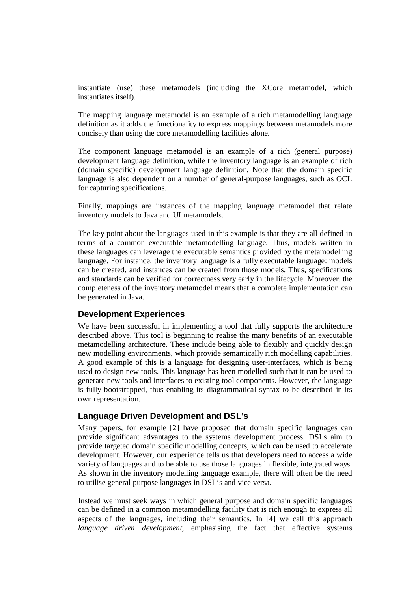instantiate (use) these metamodels (including the XCore metamodel, which instantiates itself).

The mapping language metamodel is an example of a rich metamodelling language definition as it adds the functionality to express mappings between metamodels more concisely than using the core metamodelling facilities alone.

The component language metamodel is an example of a rich (general purpose) development language definition, while the inventory language is an example of rich (domain specific) development language definition. Note that the domain specific language is also dependent on a number of general-purpose languages, such as OCL for capturing specifications.

Finally, mappings are instances of the mapping language metamodel that relate inventory models to Java and UI metamodels.

The key point about the languages used in this example is that they are all defined in terms of a common executable metamodelling language. Thus, models written in these languages can leverage the executable semantics provided by the metamodelling language. For instance, the inventory language is a fully executable language: models can be created, and instances can be created from those models. Thus, specifications and standards can be verified for correctness very early in the lifecycle. Moreover, the completeness of the inventory metamodel means that a complete implementation can be generated in Java.

## **Development Experiences**

We have been successful in implementing a tool that fully supports the architecture described above. This tool is beginning to realise the many benefits of an executable metamodelling architecture. These include being able to flexibly and quickly design new modelling environments, which provide semantically rich modelling capabilities. A good example of this is a language for designing user-interfaces, which is being used to design new tools. This language has been modelled such that it can be used to generate new tools and interfaces to existing tool components. However, the language is fully bootstrapped, thus enabling its diagrammatical syntax to be described in its own representation.

## **Language Driven Development and DSL's**

Many papers, for example [2] have proposed that domain specific languages can provide significant advantages to the systems development process. DSLs aim to provide targeted domain specific modelling concepts, which can be used to accelerate development. However, our experience tells us that developers need to access a wide variety of languages and to be able to use those languages in flexible, integrated ways. As shown in the inventory modelling language example, there will often be the need to utilise general purpose languages in DSL's and vice versa.

Instead we must seek ways in which general purpose and domain specific languages can be defined in a common metamodelling facility that is rich enough to express all aspects of the languages, including their semantics. In [4] we call this approach *language driven development*, emphasising the fact that effective systems